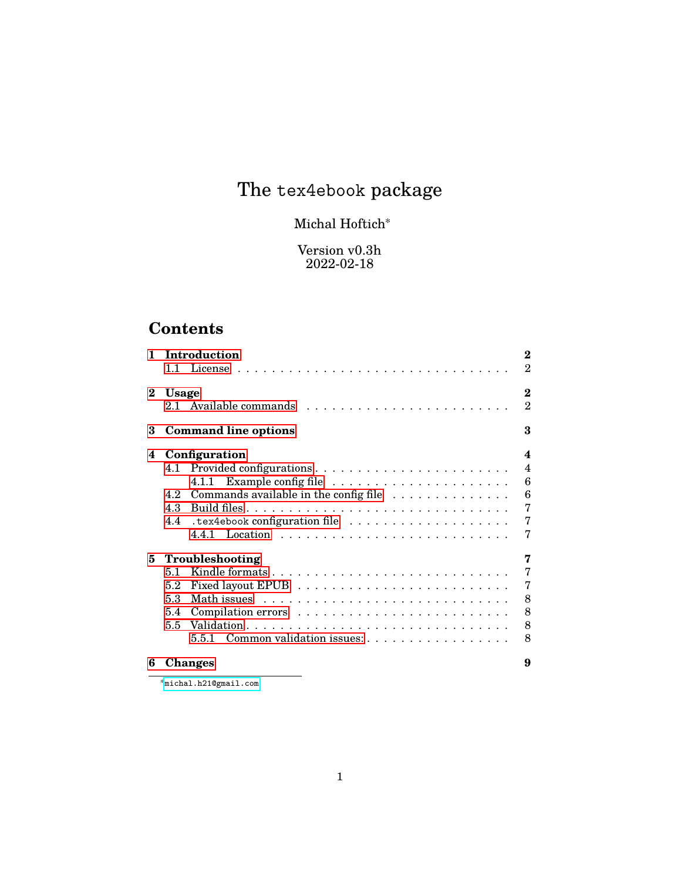# The tex4ebook package

# Michal Hoftich<sup>∗</sup>

Version v0.3h 2022-02-18

# **Contents**

| 1        | 11            | Introduction                                                      | $\bf{2}$<br>$\overline{2}$              |
|----------|---------------|-------------------------------------------------------------------|-----------------------------------------|
| $\bf{2}$ | <b>Usage</b>  |                                                                   | $\bf{2}$<br>$\mathcal{D}_{\mathcal{A}}$ |
| 3        |               | <b>Command line options</b>                                       | 3                                       |
| 4        | Configuration |                                                                   |                                         |
|          |               | 4.1.1                                                             | $\overline{\mathbf{4}}$<br>6            |
|          | 4.2           | Commands available in the config file $\dots\dots\dots\dots\dots$ | 6                                       |
|          | 4.3           |                                                                   | 7                                       |
|          | 4.4           | .tex4ebook configuration file                                     | 7                                       |
|          |               |                                                                   | 7                                       |
| 5.       |               | Troubleshooting                                                   | 7                                       |
|          | 51            |                                                                   | 7                                       |
|          | 5.2           |                                                                   | 7                                       |
|          | 5.3           |                                                                   | 8                                       |
|          | 5.4           |                                                                   | 8                                       |
|          | 5.5           |                                                                   | 8                                       |
|          |               | Common validation issues:<br>5.5.1                                | 8                                       |
| 6        |               | Changes                                                           | 9                                       |

<sup>∗</sup><michal.h21@gmail.com>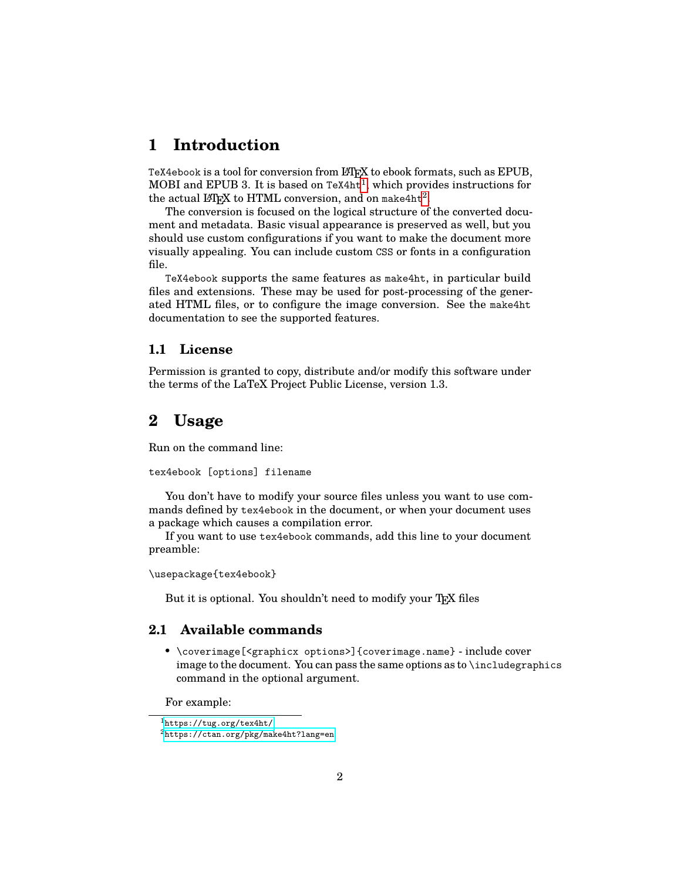# <span id="page-1-0"></span>**1 Introduction**

TeX4ebook is a tool for conversion from LAT<sub>EX</sub> to ebook formats, such as EPUB, MOBI and EPUB 3. It is based on TeX4ht<sup>[1](#page-1-4)</sup>, which provides instructions for the actual  $\LaTeX{}$  to HTML conversion, and on make4ht<sup>[2](#page-1-5)</sup>.

The conversion is focused on the logical structure of the converted document and metadata. Basic visual appearance is preserved as well, but you should use custom configurations if you want to make the document more visually appealing. You can include custom CSS or fonts in a configuration file.

TeX4ebook supports the same features as make4ht, in particular build files and extensions. These may be used for post-processing of the generated HTML files, or to configure the image conversion. See the make4ht documentation to see the supported features.

#### <span id="page-1-1"></span>**1.1 License**

Permission is granted to copy, distribute and/or modify this software under the terms of the LaTeX Project Public License, version 1.3.

# <span id="page-1-2"></span>**2 Usage**

Run on the command line:

tex4ebook [options] filename

You don't have to modify your source files unless you want to use commands defined by tex4ebook in the document, or when your document uses a package which causes a compilation error.

If you want to use tex4ebook commands, add this line to your document preamble:

\usepackage{tex4ebook}

But it is optional. You shouldn't need to modify your TEX files

## <span id="page-1-3"></span>**2.1 Available commands**

• \coverimage[<graphicx options>]{coverimage.name} - include cover image to the document. You can pass the same options as to \includegraphics command in the optional argument.

For example:

<span id="page-1-4"></span><sup>1</sup><https://tug.org/tex4ht/>

<span id="page-1-5"></span> $^2$ <https://ctan.org/pkg/make4ht?lang=en>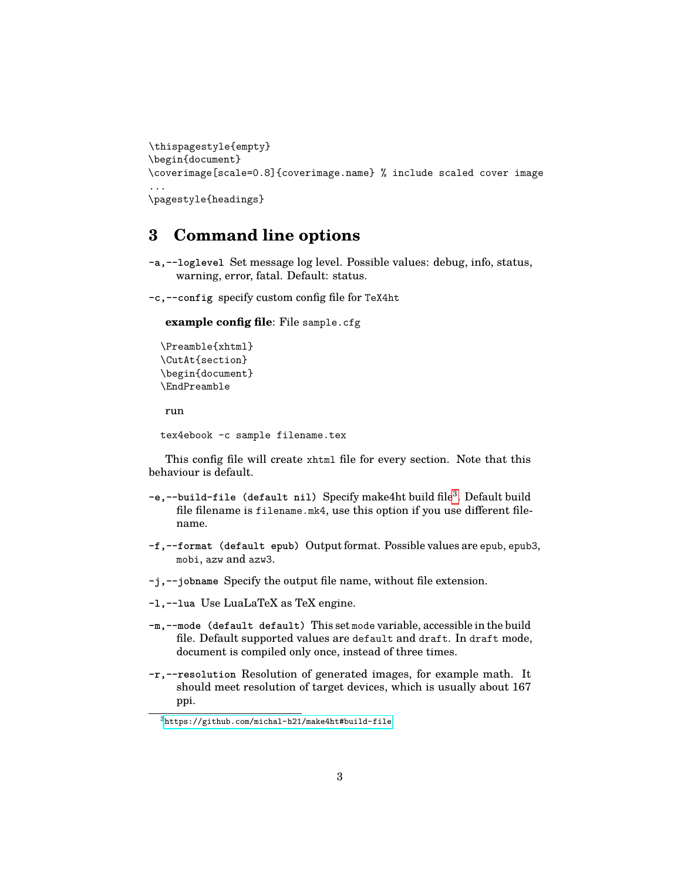```
\thispagestyle{empty}
\begin{document}
\coverimage[scale=0.8]{coverimage.name} % include scaled cover image
...
\pagestyle{headings}
```
# <span id="page-2-0"></span>**3 Command line options**

**-a,--loglevel** Set message log level. Possible values: debug, info, status, warning, error, fatal. Default: status.

**-c,--config** specify custom config file for TeX4ht

**example config file**: File sample.cfg

```
\Preamble{xhtml}
\CutAt{section}
\begin{document}
\EndPreamble
run
```

```
tex4ebook -c sample filename.tex
```
This config file will create xhtml file for every section. Note that this behaviour is default.

- -e,--build-file (default nil) Specify make4ht build file<sup>[3](#page-2-1)</sup>. Default build file filename is filename.mk4, use this option if you use different filename.
- **-f,--format (default epub)** Output format. Possible values are epub, epub3, mobi, azw and azw3.
- **-j,--jobname** Specify the output file name, without file extension.
- **-l,--lua** Use LuaLaTeX as TeX engine.
- **-m,--mode (default default)** This set mode variable, accessible in the build file. Default supported values are default and draft. In draft mode, document is compiled only once, instead of three times.
- **-r,--resolution** Resolution of generated images, for example math. It should meet resolution of target devices, which is usually about 167 ppi.

<span id="page-2-1"></span><sup>3</sup><https://github.com/michal-h21/make4ht#build-file>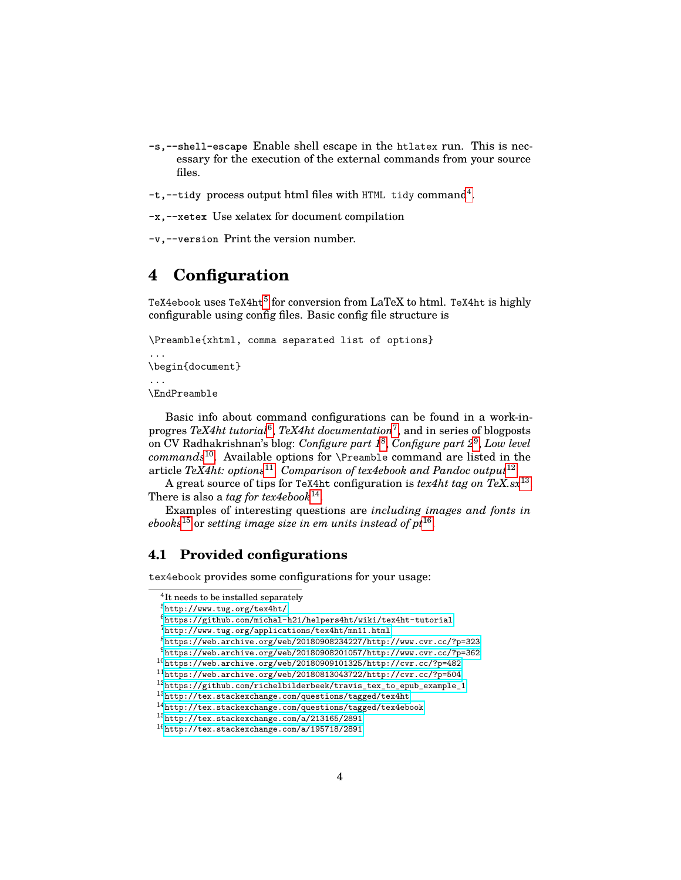- **-s,--shell-escape** Enable shell escape in the htlatex run. This is necessary for the execution of the external commands from your source files.
- -t,--tidy process output html files with HTML tidy command<sup>[4](#page-3-2)</sup>.

**-x,--xetex** Use xelatex for document compilation

**-v,--version** Print the version number.

# <span id="page-3-0"></span>**4 Configuration**

TeX4ebook uses TeX4ht<sup>[5](#page-3-3)</sup> for conversion from LaTeX to html. TeX4ht is highly configurable using config files. Basic config file structure is

```
\Preamble{xhtml, comma separated list of options}
...
\begin{document}
...
\EndPreamble
```
Basic info about command configurations can be found in a work-inprogres *TeX4ht tutorial*[6](#page-3-4) , *TeX4ht documentation*[7](#page-3-5) , and in series of blogposts on CV Radhakrishnan's blog: *Configure part [1](#page-3-6)*<sup>8</sup> , *Configure part [2](#page-3-7)*<sup>9</sup> , *Low level commands*[10](#page-3-8). Available options for \Preamble command are listed in the article *TeX4ht: options*[11](#page-3-9) . *Comparison of tex4ebook and Pandoc output*[12](#page-3-10)

A great source of tips for TeX4ht configuration is *tex4ht tag on TeX.sx*[13](#page-3-11) . There is also a *tag for tex4ebook*<sup>[14](#page-3-12)</sup>.

Examples of interesting questions are *including images and fonts in ebooks*[15](#page-3-13) or *setting image size in em units instead of pt*[16](#page-3-14) .

### <span id="page-3-1"></span>**4.1 Provided configurations**

tex4ebook provides some configurations for your usage:

```
4
It needs to be installed separately
```
<span id="page-3-3"></span><sup>5</sup><http://www.tug.org/tex4ht/>

<span id="page-3-4"></span> $6$ <https://github.com/michal-h21/helpers4ht/wiki/tex4ht-tutorial>

<span id="page-3-5"></span><sup>7</sup><http://www.tug.org/applications/tex4ht/mn11.html>

<span id="page-3-6"></span><sup>8</sup><https://web.archive.org/web/20180908234227/http://www.cvr.cc/?p=323>

<span id="page-3-7"></span> $9$ <https://web.archive.org/web/20180908201057/http://www.cvr.cc/?p=362>

<span id="page-3-8"></span> $10$ <https://web.archive.org/web/20180909101325/http://cvr.cc/?p=482>

<span id="page-3-9"></span> $^{11}$ <https://web.archive.org/web/20180813043722/http://cvr.cc/?p=504>

<span id="page-3-10"></span><sup>12</sup>[https://github.com/richelbilderbeek/travis\\_tex\\_to\\_epub\\_example\\_1](https://github.com/richelbilderbeek/travis_tex_to_epub_example_1)

<span id="page-3-11"></span><sup>13</sup><http://tex.stackexchange.com/questions/tagged/tex4ht>

<span id="page-3-12"></span><sup>14</sup><http://tex.stackexchange.com/questions/tagged/tex4ebook>

<span id="page-3-13"></span><sup>15</sup><http://tex.stackexchange.com/a/213165/2891>

<span id="page-3-14"></span><sup>16</sup><http://tex.stackexchange.com/a/195718/2891>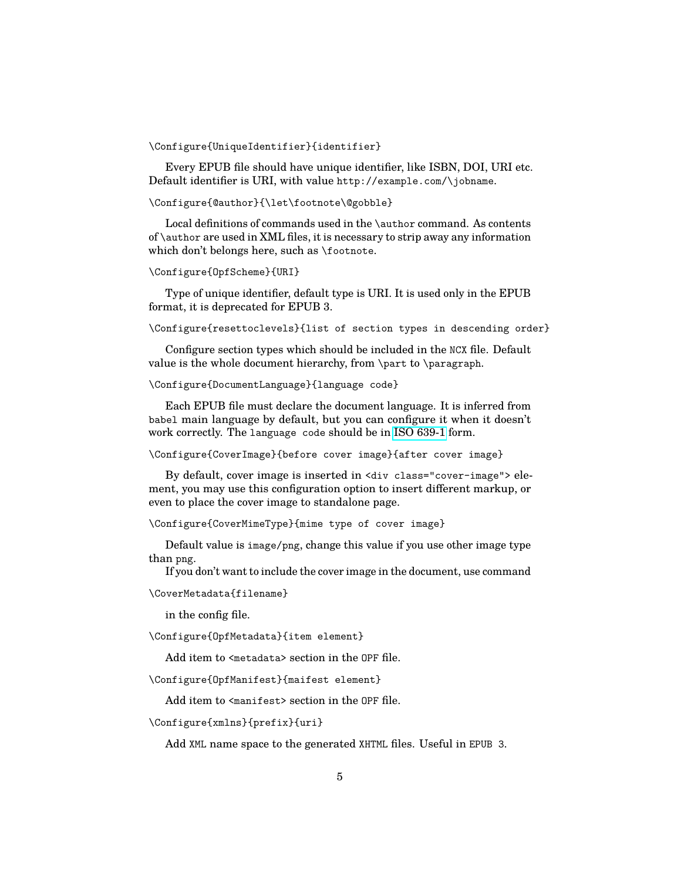#### \Configure{UniqueIdentifier}{identifier}

Every EPUB file should have unique identifier, like ISBN, DOI, URI etc. Default identifier is URI, with value http://example.com/\jobname.

#### \Configure{@author}{\let\footnote\@gobble}

Local definitions of commands used in the \author command. As contents of \author are used in XML files, it is necessary to strip away any information which don't belongs here, such as \footnote.

#### \Configure{OpfScheme}{URI}

Type of unique identifier, default type is URI. It is used only in the EPUB format, it is deprecated for EPUB 3.

\Configure{resettoclevels}{list of section types in descending order}

Configure section types which should be included in the NCX file. Default value is the whole document hierarchy, from \part to \paragraph.

#### \Configure{DocumentLanguage}{language code}

Each EPUB file must declare the document language. It is inferred from babel main language by default, but you can configure it when it doesn't work correctly. The language code should be in [ISO 639-1](https://en.wikipedia.org/wiki/List_of_ISO_639-1_codes) form.

\Configure{CoverImage}{before cover image}{after cover image}

By default, cover image is inserted in <div class="cover-image"> element, you may use this configuration option to insert different markup, or even to place the cover image to standalone page.

\Configure{CoverMimeType}{mime type of cover image}

Default value is image/png, change this value if you use other image type than png.

If you don't want to include the cover image in the document, use command

\CoverMetadata{filename}

in the config file.

\Configure{OpfMetadata}{item element}

Add item to <metadata> section in the OPF file.

\Configure{OpfManifest}{maifest element}

Add item to <manifest> section in the OPF file.

#### \Configure{xmlns}{prefix}{uri}

Add XML name space to the generated XHTML files. Useful in EPUB 3.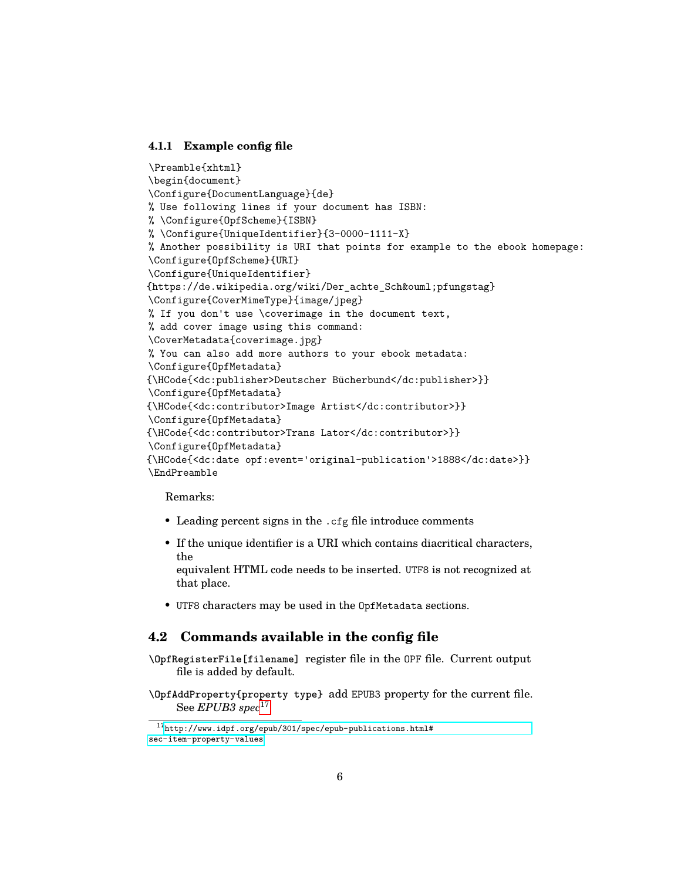#### <span id="page-5-0"></span>**4.1.1 Example config file**

```
\Preamble{xhtml}
\begin{document}
\Configure{DocumentLanguage}{de}
% Use following lines if your document has ISBN:
% \Configure{OpfScheme}{ISBN}
% \Configure{UniqueIdentifier}{3-0000-1111-X}
% Another possibility is URI that points for example to the ebook homepage:
\Configure{OpfScheme}{URI}
\Configure{UniqueIdentifier}
{https://de.wikipedia.org/wiki/Der_achte_Schöpfungstag}
\Configure{CoverMimeType}{image/jpeg}
% If you don't use \coverimage in the document text,
% add cover image using this command:
\CoverMetadata{coverimage.jpg}
% You can also add more authors to your ebook metadata:
\Configure{OpfMetadata}
{\HCode{<dc:publisher>Deutscher Bücherbund</dc:publisher>}}
\Configure{OpfMetadata}
{\HCode{<dc:contributor>Image Artist</dc:contributor>}}
\Configure{OpfMetadata}
{\HCode{<dc:contributor>Trans Lator</dc:contributor>}}
\Configure{OpfMetadata}
{\HCode{<dc:date opf:event='original-publication'>1888</dc:date>}}
\EndPreamble
```
Remarks:

- Leading percent signs in the .cfg file introduce comments
- If the unique identifier is a URI which contains diacritical characters, the

equivalent HTML code needs to be inserted. UTF8 is not recognized at that place.

• UTF8 characters may be used in the OpfMetadata sections.

### <span id="page-5-1"></span>**4.2 Commands available in the config file**

**\OpfRegisterFile[filename]** register file in the OPF file. Current output file is added by default.

**\OpfAddProperty{property type}** add EPUB3 property for the current file. See *EPUB3 spec*[17](#page-5-2)

<span id="page-5-2"></span> $^{17}\text{http://www.idpf.org/epub/301/spec/epub-publications.html#}$  $^{17}\text{http://www.idpf.org/epub/301/spec/epub-publications.html#}$  $^{17}\text{http://www.idpf.org/epub/301/spec/epub-publications.html#}$ [sec-item-property-values](http://www.idpf.org/epub/301/spec/epub-publications.html#sec-item-property-values)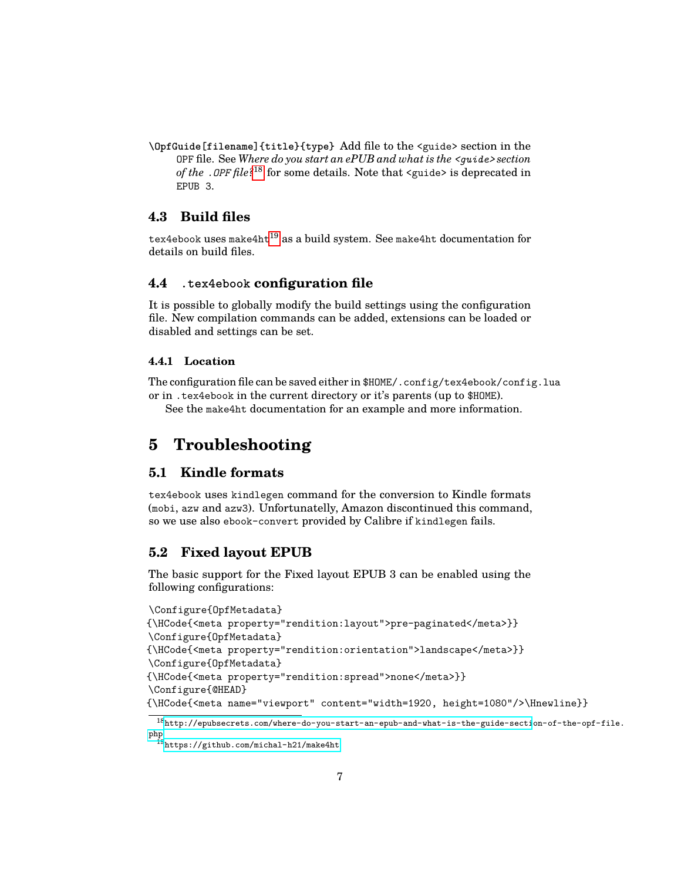**\OpfGuide[filename]{title}{type}** Add file to the <guide> section in the OPF file. See *Where do you start an ePUB and what is the <guide> section of the .OPF file?*[18](#page-6-6) for some details. Note that <guide> is deprecated in EPUB 3.

# <span id="page-6-0"></span>**4.3 Build files**

tex4ebook uses make4ht $^{19}$  $^{19}$  $^{19}$  as a build system. See make4ht documentation for details on build files.

## <span id="page-6-1"></span>**4.4 .tex4ebook configuration file**

It is possible to globally modify the build settings using the configuration file. New compilation commands can be added, extensions can be loaded or disabled and settings can be set.

### <span id="page-6-2"></span>**4.4.1 Location**

The configuration file can be saved either in \$HOME/.config/tex4ebook/config.lua or in .tex4ebook in the current directory or it's parents (up to \$HOME).

See the make4ht documentation for an example and more information.

# <span id="page-6-3"></span>**5 Troubleshooting**

### <span id="page-6-4"></span>**5.1 Kindle formats**

tex4ebook uses kindlegen command for the conversion to Kindle formats (mobi, azw and azw3). Unfortunatelly, Amazon discontinued this command, so we use also ebook-convert provided by Calibre if kindlegen fails.

### <span id="page-6-5"></span>**5.2 Fixed layout EPUB**

The basic support for the Fixed layout EPUB 3 can be enabled using the following configurations:

```
\Configure{OpfMetadata}
{\HCode{<meta property="rendition:layout">pre-paginated</meta>}}
\Configure{OpfMetadata}
{\HCode{<meta property="rendition:orientation">landscape</meta>}}
\Configure{OpfMetadata}
{\HCode{<meta property="rendition:spread">none</meta>}}
\Configure{@HEAD}
{\HCode{<meta name="viewport" content="width=1920, height=1080"/>\Hnewline}}
```
<span id="page-6-6"></span> $\overline{^{18}\text{http://epubsectets.com/where-do-you-start-an-epub-and-what-is-the-guide-section-of-the-opf-file.}}$ [php](http://epubsecrets.com/where-do-you-start-an-epub-and-what-is-the-guide-section-of-the-opf-file.php)

<span id="page-6-7"></span><sup>19</sup><https://github.com/michal-h21/make4ht>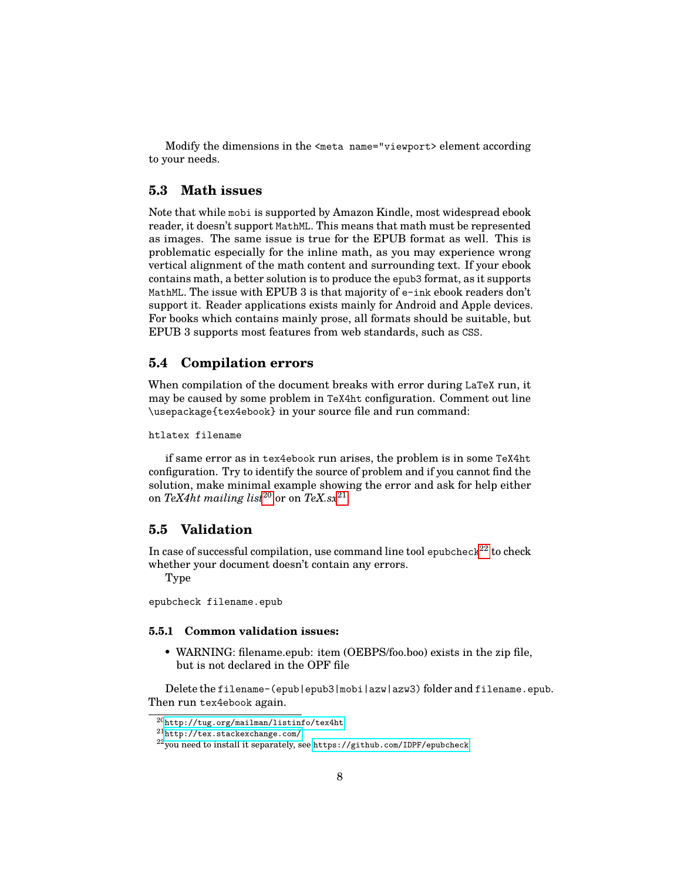Modify the dimensions in the <meta name="viewport> element according to your needs.

### <span id="page-7-0"></span>**5.3 Math issues**

Note that while mobi is supported by Amazon Kindle, most widespread ebook reader, it doesn't support MathML. This means that math must be represented as images. The same issue is true for the EPUB format as well. This is problematic especially for the inline math, as you may experience wrong vertical alignment of the math content and surrounding text. If your ebook contains math, a better solution is to produce the epub3 format, as it supports MathML. The issue with EPUB 3 is that majority of e-ink ebook readers don't support it. Reader applications exists mainly for Android and Apple devices. For books which contains mainly prose, all formats should be suitable, but EPUB 3 supports most features from web standards, such as CSS.

### <span id="page-7-1"></span>**5.4 Compilation errors**

When compilation of the document breaks with error during LaTeX run, it may be caused by some problem in TeX4ht configuration. Comment out line \usepackage{tex4ebook} in your source file and run command:

#### htlatex filename

if same error as in tex4ebook run arises, the problem is in some TeX4ht configuration. Try to identify the source of problem and if you cannot find the solution, make minimal example showing the error and ask for help either on  $\textit{TeX4ht}$  mailing list $^{20}$  $^{20}$  $^{20}$  or on  $\textit{TeX}$ .sx $^{21}$  $^{21}$  $^{21}$ .

### <span id="page-7-2"></span>**5.5 Validation**

In case of successful compilation, use command line tool epubcheck<sup>[22](#page-7-6)</sup> to check whether your document doesn't contain any errors.

Type

epubcheck filename.epub

#### <span id="page-7-3"></span>**5.5.1 Common validation issues:**

• WARNING: filename.epub: item (OEBPS/foo.boo) exists in the zip file, but is not declared in the OPF file

Delete the filename-(epub|epub3|mobi|azw|azw3) folder and filename.epub. Then run tex4ebook again.

<span id="page-7-4"></span><sup>20</sup><http://tug.org/mailman/listinfo/tex4ht>

<span id="page-7-5"></span><sup>21</sup><http://tex.stackexchange.com/>

<span id="page-7-6"></span><sup>22</sup>you need to install it separately, see <https://github.com/IDPF/epubcheck>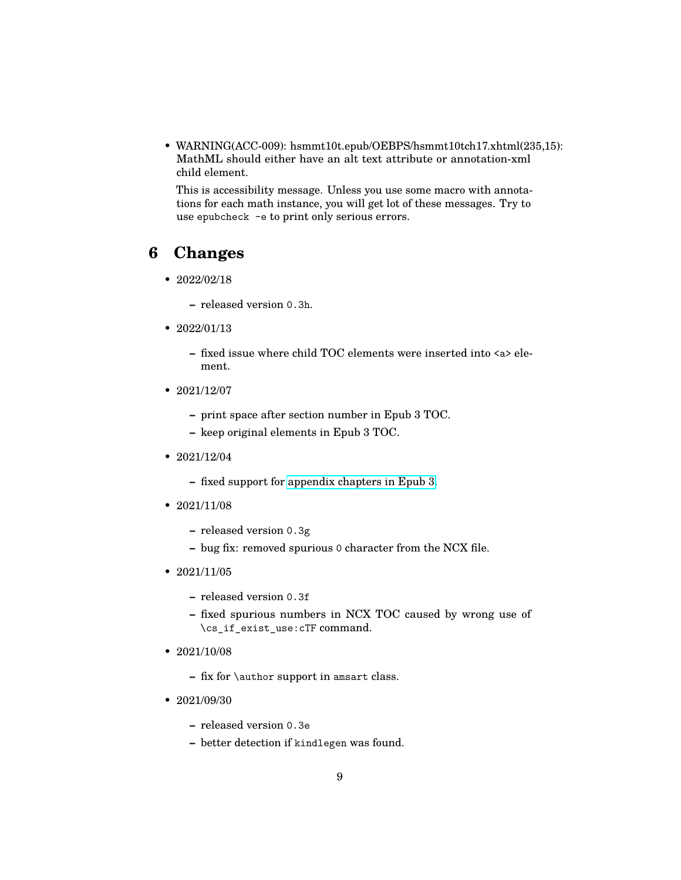• WARNING(ACC-009): hsmmt10t.epub/OEBPS/hsmmt10tch17.xhtml(235,15): MathML should either have an alt text attribute or annotation-xml child element.

This is accessibility message. Unless you use some macro with annotations for each math instance, you will get lot of these messages. Try to use epubcheck -e to print only serious errors.

# <span id="page-8-0"></span>**6 Changes**

- $2022/02/18$ 
	- **–** released version 0.3h.
- 2022/01/13
	- **–** fixed issue where child TOC elements were inserted into <a> element.
- 2021/12/07
	- **–** print space after section number in Epub 3 TOC.
	- **–** keep original elements in Epub 3 TOC.
- 2021/12/04
	- **–** fixed support for [appendix chapters in Epub 3.](https://github.com/michal-h21/tex4ebook/issues/85)
- $2021/11/08$ 
	- **–** released version 0.3g
	- **–** bug fix: removed spurious 0 character from the NCX file.
- 2021/11/05
	- **–** released version 0.3f
	- **–** fixed spurious numbers in NCX TOC caused by wrong use of \cs\_if\_exist\_use:cTF command.
- 2021/10/08
	- **–** fix for \author support in amsart class.
- 2021/09/30
	- **–** released version 0.3e
	- **–** better detection if kindlegen was found.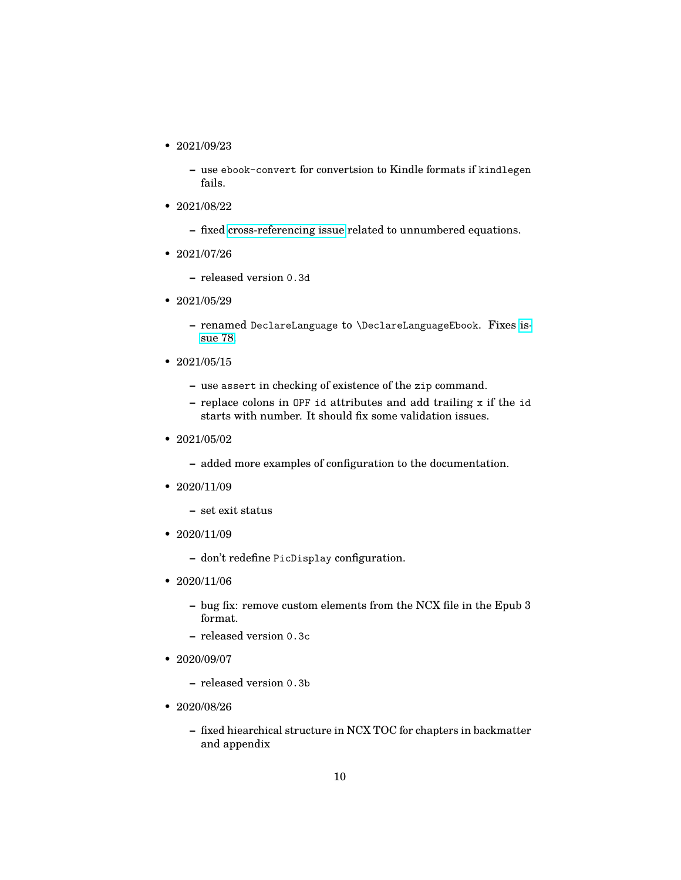- 2021/09/23
	- **–** use ebook-convert for convertsion to Kindle formats if kindlegen fails.
- 2021/08/22
	- **–** fixed [cross-referencing issue](https://tex.stackexchange.com/a/611611/2891) related to unnumbered equations.
- 2021/07/26
	- **–** released version 0.3d
- 2021/05/29
	- **–** renamed DeclareLanguage to \DeclareLanguageEbook. Fixes [is](https://github.com/michal-h21/tex4ebook/issues/78)[sue 78.](https://github.com/michal-h21/tex4ebook/issues/78)
- 2021/05/15
	- **–** use assert in checking of existence of the zip command.
	- **–** replace colons in OPF id attributes and add trailing x if the id starts with number. It should fix some validation issues.
- 2021/05/02
	- **–** added more examples of configuration to the documentation.
- 2020/11/09
	- **–** set exit status
- $2020/11/09$ 
	- **–** don't redefine PicDisplay configuration.
- $2020/11/06$ 
	- **–** bug fix: remove custom elements from the NCX file in the Epub 3 format.
	- **–** released version 0.3c
- 2020/09/07
	- **–** released version 0.3b
- 2020/08/26
	- **–** fixed hiearchical structure in NCX TOC for chapters in backmatter and appendix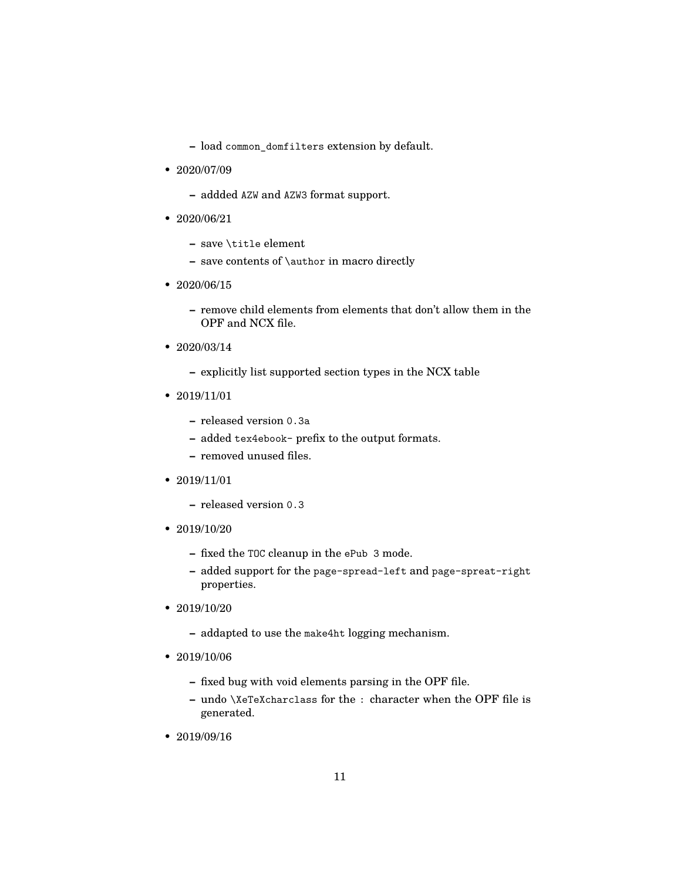- **–** load common\_domfilters extension by default.
- 2020/07/09
	- **–** addded AZW and AZW3 format support.
- 2020/06/21
	- **–** save \title element
	- **–** save contents of \author in macro directly
- 2020/06/15
	- **–** remove child elements from elements that don't allow them in the OPF and NCX file.
- 2020/03/14
	- **–** explicitly list supported section types in the NCX table
- 2019/11/01
	- **–** released version 0.3a
	- **–** added tex4ebook- prefix to the output formats.
	- **–** removed unused files.
- 2019/11/01
	- **–** released version 0.3
- 2019/10/20
	- **–** fixed the TOC cleanup in the ePub 3 mode.
	- **–** added support for the page-spread-left and page-spreat-right properties.
- 2019/10/20
	- **–** addapted to use the make4ht logging mechanism.
- 2019/10/06
	- **–** fixed bug with void elements parsing in the OPF file.
	- **–** undo \XeTeXcharclass for the : character when the OPF file is generated.
- 2019/09/16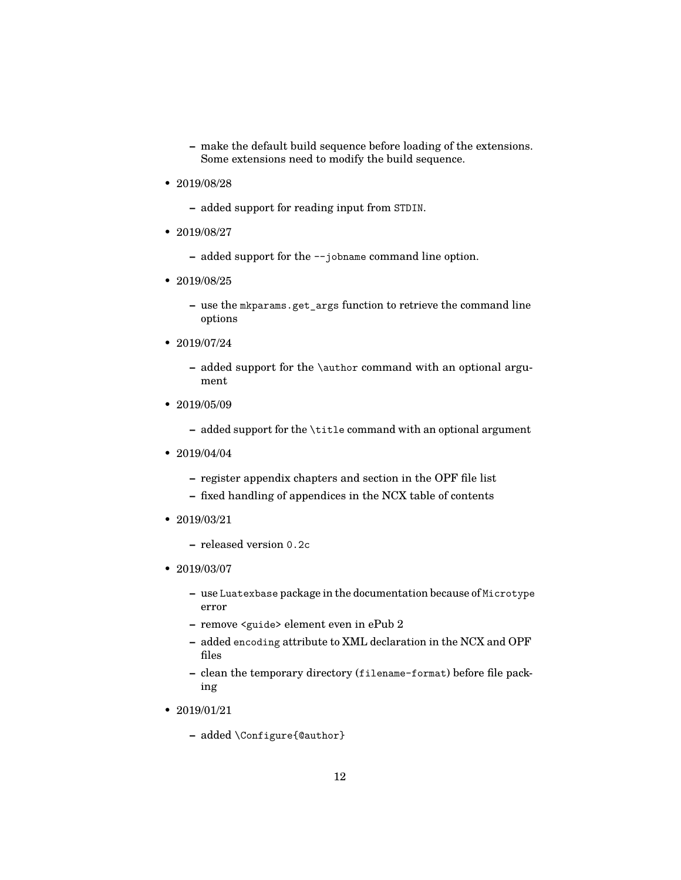- **–** make the default build sequence before loading of the extensions. Some extensions need to modify the build sequence.
- 2019/08/28
	- **–** added support for reading input from STDIN.
- 2019/08/27
	- **–** added support for the --jobname command line option.
- 2019/08/25
	- **–** use the mkparams.get\_args function to retrieve the command line options
- 2019/07/24
	- **–** added support for the \author command with an optional argument
- 2019/05/09
	- **–** added support for the \title command with an optional argument
- 2019/04/04
	- **–** register appendix chapters and section in the OPF file list
	- **–** fixed handling of appendices in the NCX table of contents
- 2019/03/21
	- **–** released version 0.2c
- 2019/03/07
	- **–** use Luatexbase package in the documentation because of Microtype error
	- **–** remove <guide> element even in ePub 2
	- **–** added encoding attribute to XML declaration in the NCX and OPF files
	- **–** clean the temporary directory (filename-format) before file packing
- 2019/01/21
	- **–** added \Configure{@author}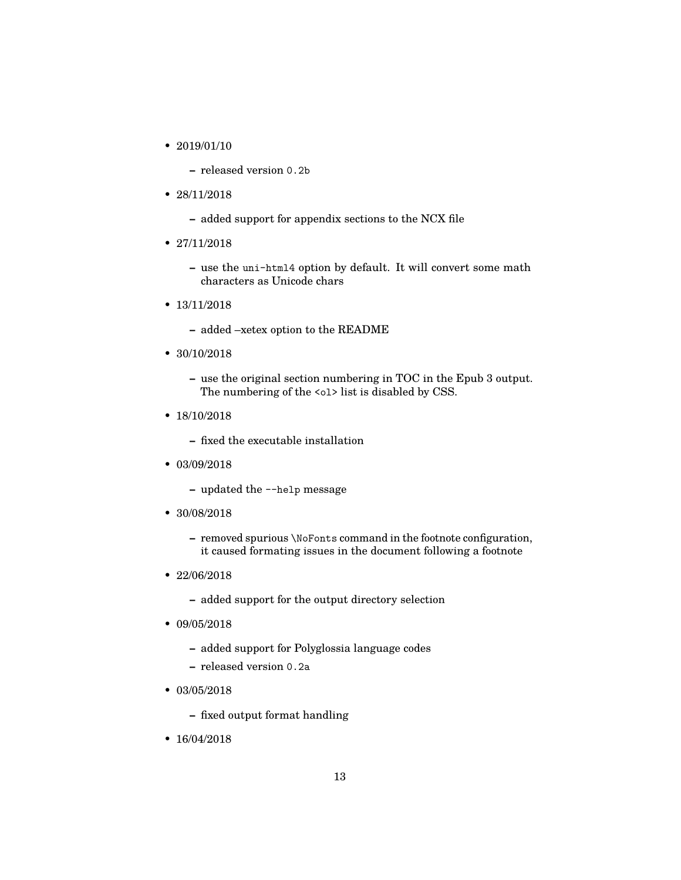• 2019/01/10

**–** released version 0.2b

- 28/11/2018
	- **–** added support for appendix sections to the NCX file
- 27/11/2018
	- **–** use the uni-html4 option by default. It will convert some math characters as Unicode chars
- 13/11/2018
	- **–** added –xetex option to the README
- 30/10/2018
	- **–** use the original section numbering in TOC in the Epub 3 output. The numbering of the <o1> list is disabled by CSS.
- 18/10/2018
	- **–** fixed the executable installation
- 03/09/2018
	- **–** updated the --help message
- 30/08/2018
	- **–** removed spurious \NoFonts command in the footnote configuration, it caused formating issues in the document following a footnote
- 22/06/2018
	- **–** added support for the output directory selection
- 09/05/2018
	- **–** added support for Polyglossia language codes
	- **–** released version 0.2a
- 03/05/2018
	- **–** fixed output format handling
- 16/04/2018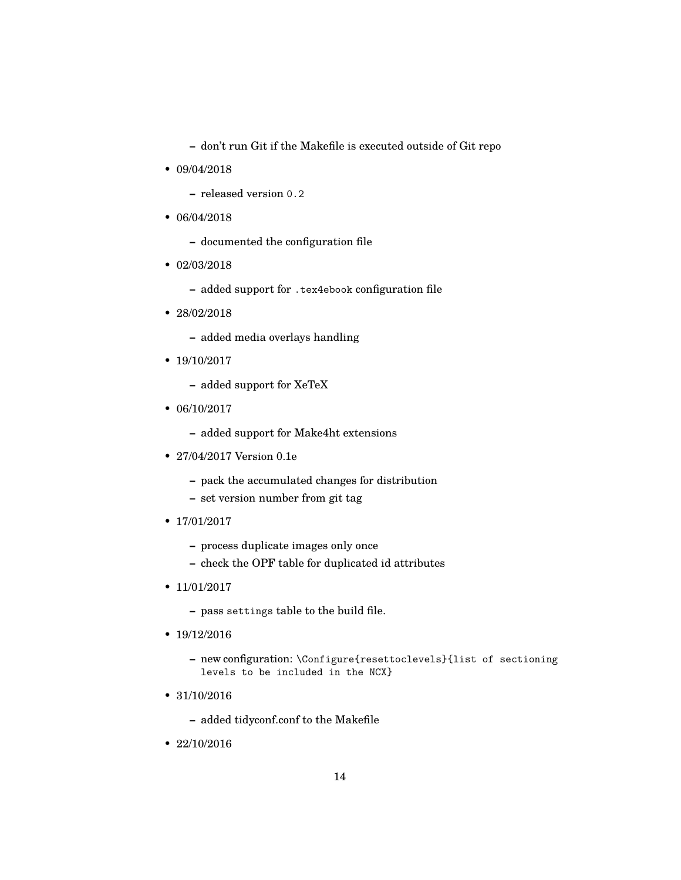**–** don't run Git if the Makefile is executed outside of Git repo

- 09/04/2018
	- **–** released version 0.2
- 06/04/2018
	- **–** documented the configuration file
- 02/03/2018
	- **–** added support for .tex4ebook configuration file
- 28/02/2018
	- **–** added media overlays handling
- 19/10/2017
	- **–** added support for XeTeX
- 06/10/2017
	- **–** added support for Make4ht extensions
- 27/04/2017 Version 0.1e
	- **–** pack the accumulated changes for distribution
	- **–** set version number from git tag
- 17/01/2017
	- **–** process duplicate images only once
	- **–** check the OPF table for duplicated id attributes
- 11/01/2017
	- **–** pass settings table to the build file.
- 19/12/2016
	- **–** new configuration: \Configure{resettoclevels}{list of sectioning levels to be included in the NCX}
- 31/10/2016
	- **–** added tidyconf.conf to the Makefile
- 22/10/2016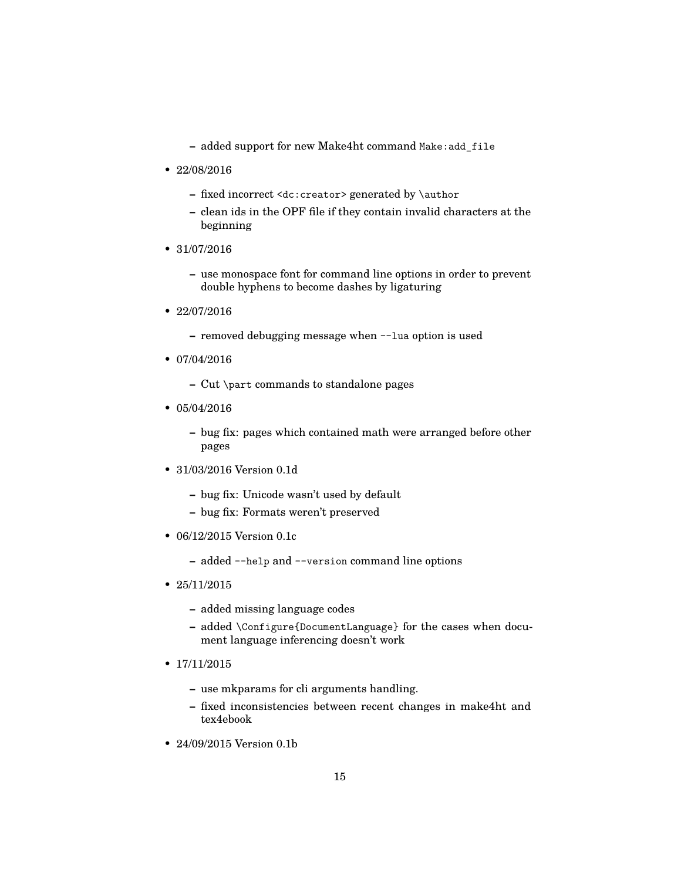- **–** added support for new Make4ht command Make:add\_file
- 22/08/2016
	- **–** fixed incorrect <dc:creator> generated by \author
	- **–** clean ids in the OPF file if they contain invalid characters at the beginning
- 31/07/2016
	- **–** use monospace font for command line options in order to prevent double hyphens to become dashes by ligaturing
- 22/07/2016
	- **–** removed debugging message when --lua option is used
- 07/04/2016
	- **–** Cut \part commands to standalone pages
- 05/04/2016
	- **–** bug fix: pages which contained math were arranged before other pages
- 31/03/2016 Version 0.1d
	- **–** bug fix: Unicode wasn't used by default
	- **–** bug fix: Formats weren't preserved
- 06/12/2015 Version 0.1c
	- **–** added --help and --version command line options
- 25/11/2015
	- **–** added missing language codes
	- **–** added \Configure{DocumentLanguage} for the cases when document language inferencing doesn't work
- 17/11/2015
	- **–** use mkparams for cli arguments handling.
	- **–** fixed inconsistencies between recent changes in make4ht and tex4ebook
- 24/09/2015 Version 0.1b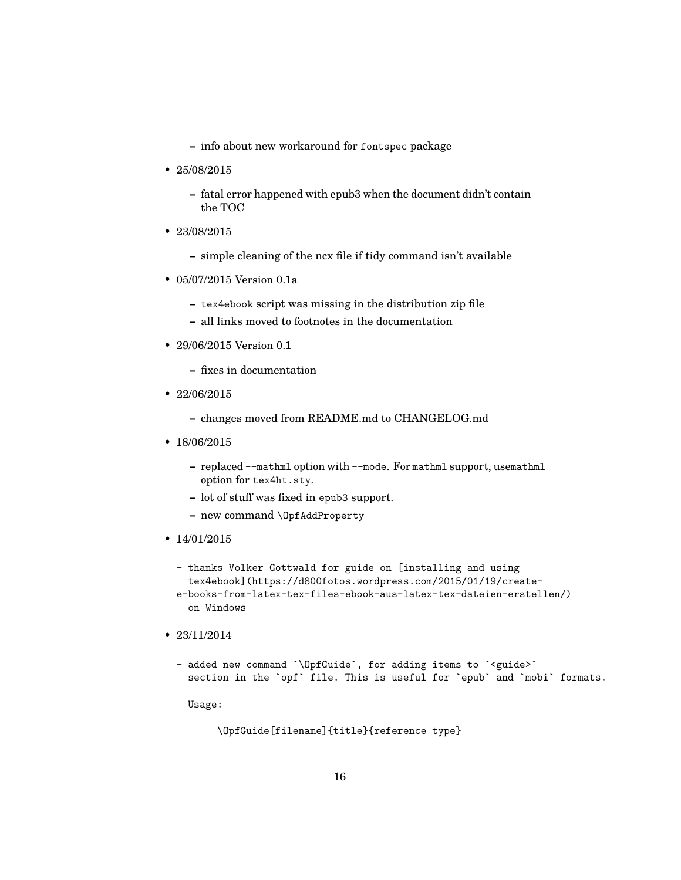- **–** info about new workaround for fontspec package
- 25/08/2015
	- **–** fatal error happened with epub3 when the document didn't contain the TOC
- 23/08/2015
	- **–** simple cleaning of the ncx file if tidy command isn't available
- 05/07/2015 Version 0.1a
	- **–** tex4ebook script was missing in the distribution zip file
	- **–** all links moved to footnotes in the documentation
- 29/06/2015 Version 0.1
	- **–** fixes in documentation
- 22/06/2015
	- **–** changes moved from README.md to CHANGELOG.md
- 18/06/2015
	- **–** replaced --mathml option with --mode. For mathml support, usemathml option for tex4ht.sty.
	- **–** lot of stuff was fixed in epub3 support.
	- **–** new command \OpfAddProperty
- 14/01/2015
	- thanks Volker Gottwald for guide on [installing and using tex4ebook](https://d800fotos.wordpress.com/2015/01/19/createe-books-from-latex-tex-files-ebook-aus-latex-tex-dateien-erstellen/) on Windows
- 23/11/2014
	- added new command `\OpfGuide`, for adding items to `<guide>` section in the `opf` file. This is useful for `epub` and `mobi` formats.

Usage:

\OpfGuide[filename]{title}{reference type}